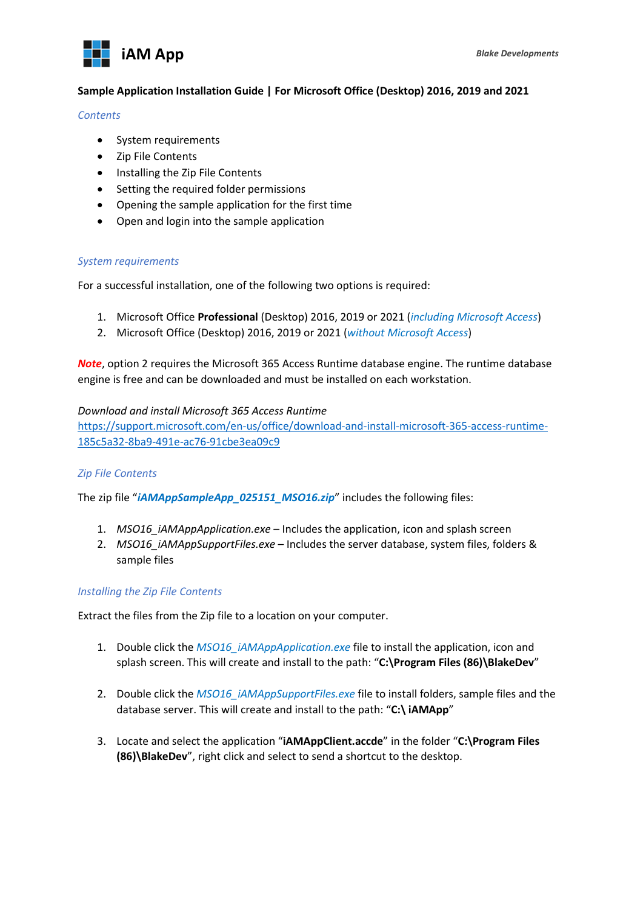

# **Sample Application Installation Guide | For Microsoft Office (Desktop) 2016, 2019 and 2021**

#### *Contents*

- System requirements
- Zip File Contents
- Installing the Zip File Contents
- Setting the required folder permissions
- Opening the sample application for the first time
- Open and login into the sample application

# *System requirements*

For a successful installation, one of the following two options is required:

- 1. Microsoft Office **Professional** (Desktop) 2016, 2019 or 2021 (*including Microsoft Access*)
- 2. Microsoft Office (Desktop) 2016, 2019 or 2021 (*without Microsoft Access*)

*Note*, option 2 requires the Microsoft 365 Access Runtime database engine. The runtime database engine is free and can be downloaded and must be installed on each workstation.

#### *Download and install Microsoft 365 Access Runtime*

https://support.microsoft.com/en-us/office/download-and-install-microsoft-365-access-runtime-185c5a32-8ba9-491e-ac76-91cbe3ea09c9

# *Zip File Contents*

The zip file "*iAMAppSampleApp\_025151\_MSO16.zip*" includes the following files:

- 1. *MSO16\_iAMAppApplication.exe* Includes the application, icon and splash screen
- 2. *MSO16\_iAMAppSupportFiles.exe* Includes the server database, system files, folders & sample files

# *Installing the Zip File Contents*

Extract the files from the Zip file to a location on your computer.

- 1. Double click the *MSO16\_iAMAppApplication.exe* file to install the application, icon and splash screen. This will create and install to the path: "**C:\Program Files (86)\BlakeDev**"
- 2. Double click the *MSO16* iAMAppSupportFiles.exe file to install folders, sample files and the database server. This will create and install to the path: "**C:\ iAMApp**"
- 3. Locate and select the application "**iAMAppClient.accde**" in the folder "**C:\Program Files (86)\BlakeDev**", right click and select to send a shortcut to the desktop.